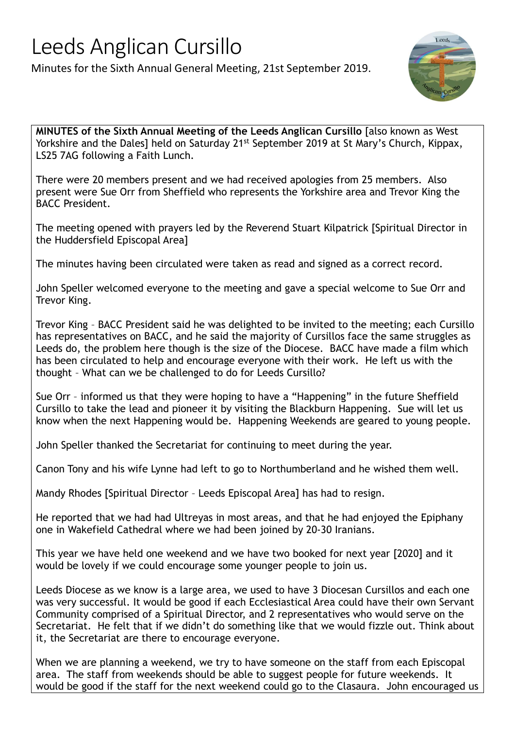## Leeds Anglican Cursillo

Minutes for the Sixth Annual General Meeting, 21st September 2019.



MINUTES of the Sixth Annual Meeting of the Leeds Anglican Cursillo [also known as West Yorkshire and the Dales] held on Saturday 21<sup>st</sup> September 2019 at St Mary's Church, Kippax, LS25 7AG following a Faith Lunch.

There were 20 members present and we had received apologies from 25 members. Also present were Sue Orr from Sheffield who represents the Yorkshire area and Trevor King the BACC President.

The meeting opened with prayers led by the Reverend Stuart Kilpatrick [Spiritual Director in the Huddersfield Episcopal Area]

The minutes having been circulated were taken as read and signed as a correct record.

John Speller welcomed everyone to the meeting and gave a special welcome to Sue Orr and Trevor King.

Trevor King – BACC President said he was delighted to be invited to the meeting; each Cursillo has representatives on BACC, and he said the majority of Cursillos face the same struggles as Leeds do, the problem here though is the size of the Diocese. BACC have made a film which has been circulated to help and encourage everyone with their work. He left us with the thought – What can we be challenged to do for Leeds Cursillo?

Sue Orr – informed us that they were hoping to have a "Happening" in the future Sheffield Cursillo to take the lead and pioneer it by visiting the Blackburn Happening. Sue will let us know when the next Happening would be. Happening Weekends are geared to young people.

John Speller thanked the Secretariat for continuing to meet during the year.

Canon Tony and his wife Lynne had left to go to Northumberland and he wished them well.

Mandy Rhodes [Spiritual Director – Leeds Episcopal Area] has had to resign.

He reported that we had had Ultreyas in most areas, and that he had enjoyed the Epiphany one in Wakefield Cathedral where we had been joined by 20-30 Iranians.

This year we have held one weekend and we have two booked for next year [2020] and it would be lovely if we could encourage some younger people to join us.

Leeds Diocese as we know is a large area, we used to have 3 Diocesan Cursillos and each one was very successful. It would be good if each Ecclesiastical Area could have their own Servant Community comprised of a Spiritual Director, and 2 representatives who would serve on the Secretariat. He felt that if we didn't do something like that we would fizzle out. Think about it, the Secretariat are there to encourage everyone.

When we are planning a weekend, we try to have someone on the staff from each Episcopal area. The staff from weekends should be able to suggest people for future weekends. It would be good if the staff for the next weekend could go to the Clasaura. John encouraged us